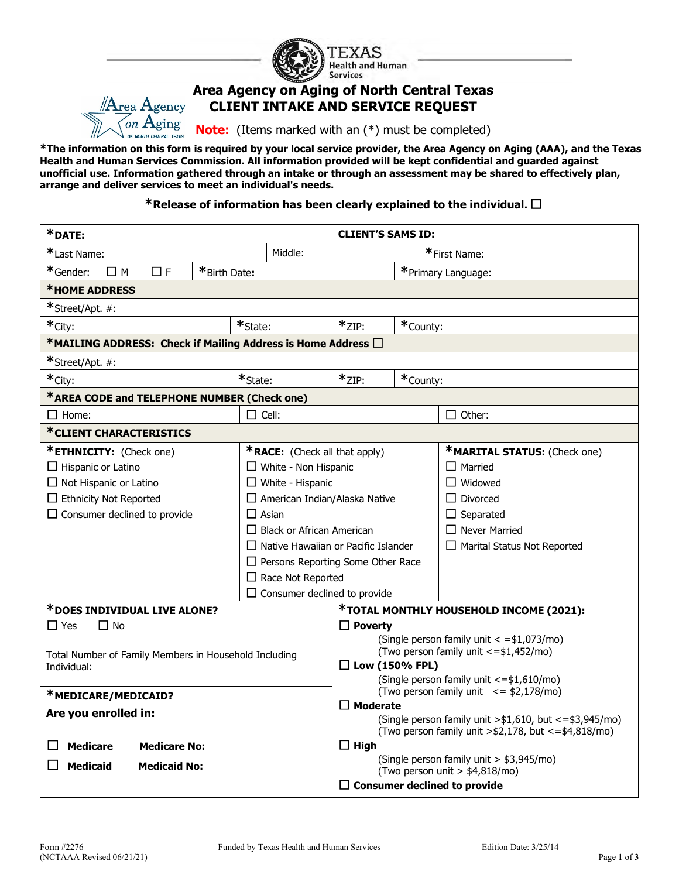

## **Area Agency on Aging of North Central Texas CLIENT INTAKE AND SERVICE REQUEST**

**Note:** (Items marked with an (\*) must be completed)

**\*The information on this form is required by your local service provider, the Area Agency on Aging (AAA), and the Texas Health and Human Services Commission. All information provided will be kept confidential and guarded against unofficial use. Information gathered through an intake or through an assessment may be shared to effectively plan, arrange and deliver services to meet an individual's needs.**

**\*Release of information has been clearly explained to the individual.** ☐

| *DATE:                                                                  |                 |                                            | <b>CLIENT'S SAMS ID:</b>                                        |                        |                                                                                                                                |  |  |
|-------------------------------------------------------------------------|-----------------|--------------------------------------------|-----------------------------------------------------------------|------------------------|--------------------------------------------------------------------------------------------------------------------------------|--|--|
| *Last Name:                                                             |                 | Middle:                                    |                                                                 |                        | *First Name:                                                                                                                   |  |  |
| *Gender:<br>*Birth Date:<br>□ F<br>$\Box$ M                             |                 |                                            |                                                                 |                        | *Primary Language:                                                                                                             |  |  |
| *HOME ADDRESS                                                           |                 |                                            |                                                                 |                        |                                                                                                                                |  |  |
| *Street/Apt. #:                                                         |                 |                                            |                                                                 |                        |                                                                                                                                |  |  |
| *City:                                                                  | *State:         |                                            |                                                                 | $*_{ZIP:}$<br>*County: |                                                                                                                                |  |  |
| *MAILING ADDRESS: Check if Mailing Address is Home Address $\Box$       |                 |                                            |                                                                 |                        |                                                                                                                                |  |  |
| *Street/Apt. #:                                                         |                 |                                            |                                                                 |                        |                                                                                                                                |  |  |
| *City:                                                                  | $*$ State:      | $*_{ZIP:}$                                 |                                                                 | *County:               |                                                                                                                                |  |  |
| *AREA CODE and TELEPHONE NUMBER (Check one)                             |                 |                                            |                                                                 |                        |                                                                                                                                |  |  |
| $\square$ Home:                                                         | $\square$ Cell: |                                            |                                                                 |                        | $\Box$ Other:                                                                                                                  |  |  |
| *CLIENT CHARACTERISTICS                                                 |                 |                                            |                                                                 |                        |                                                                                                                                |  |  |
| *ETHNICITY: (Check one)                                                 |                 | <b>*RACE:</b> (Check all that apply)       |                                                                 |                        | *MARITAL STATUS: (Check one)                                                                                                   |  |  |
| $\Box$ Hispanic or Latino                                               |                 | $\Box$ White - Non Hispanic                |                                                                 |                        | $\Box$ Married                                                                                                                 |  |  |
| $\Box$ Not Hispanic or Latino<br>$\Box$ White - Hispanic                |                 |                                            |                                                                 |                        | $\Box$ Widowed                                                                                                                 |  |  |
| $\Box$ Ethnicity Not Reported                                           |                 |                                            | $\Box$ American Indian/Alaska Native                            |                        | $\Box$ Divorced                                                                                                                |  |  |
| $\Box$ Consumer declined to provide<br>$\Box$ Asian                     |                 |                                            |                                                                 |                        | $\Box$ Separated                                                                                                               |  |  |
|                                                                         |                 | $\Box$ Black or African American           |                                                                 |                        | $\Box$ Never Married                                                                                                           |  |  |
|                                                                         |                 | $\Box$ Native Hawaiian or Pacific Islander |                                                                 |                        | $\Box$ Marital Status Not Reported                                                                                             |  |  |
|                                                                         |                 |                                            | $\Box$ Persons Reporting Some Other Race                        |                        |                                                                                                                                |  |  |
|                                                                         |                 | $\Box$ Race Not Reported                   |                                                                 |                        |                                                                                                                                |  |  |
| $\Box$ Consumer declined to provide                                     |                 |                                            |                                                                 |                        |                                                                                                                                |  |  |
| *DOES INDIVIDUAL LIVE ALONE?<br>*TOTAL MONTHLY HOUSEHOLD INCOME (2021): |                 |                                            |                                                                 |                        |                                                                                                                                |  |  |
| $\Box$ Yes<br>$\Box$ No                                                 |                 |                                            | $\Box$ Poverty                                                  |                        |                                                                                                                                |  |  |
|                                                                         |                 |                                            | (Single person family unit $\langle$ =\$1,073/mo)               |                        |                                                                                                                                |  |  |
| Total Number of Family Members in Household Including                   |                 |                                            | (Two person family unit <= \$1,452/mo)<br>$\Box$ Low (150% FPL) |                        |                                                                                                                                |  |  |
| Individual:                                                             |                 |                                            | (Single person family unit <= \$1,610/mo)                       |                        |                                                                                                                                |  |  |
| *MEDICARE/MEDICAID?                                                     |                 |                                            | (Two person family unit $\leq$ \$2,178/mo)                      |                        |                                                                                                                                |  |  |
| Are you enrolled in:                                                    |                 |                                            | $\Box$ Moderate                                                 |                        |                                                                                                                                |  |  |
|                                                                         |                 |                                            |                                                                 |                        | (Single person family unit $>$ \$1,610, but <=\$3,945/mo)<br>(Two person family unit > $\frac{1}{2}$ , 178, but <= \$4,818/mo) |  |  |
| <b>Medicare</b><br><b>Medicare No:</b>                                  |                 |                                            | $\Box$ High                                                     |                        |                                                                                                                                |  |  |
|                                                                         |                 |                                            | (Single person family unit > \$3,945/mo)                        |                        |                                                                                                                                |  |  |
| <b>Medicaid</b><br><b>Medicaid No:</b>                                  |                 |                                            | (Two person unit $> $4,818$ /mo)                                |                        |                                                                                                                                |  |  |
|                                                                         |                 |                                            | $\Box$ Consumer declined to provide                             |                        |                                                                                                                                |  |  |

 $\mathbb{A}_{\text{rea}}$   $\rm A_{\text{gency}}$ on  $A$ ging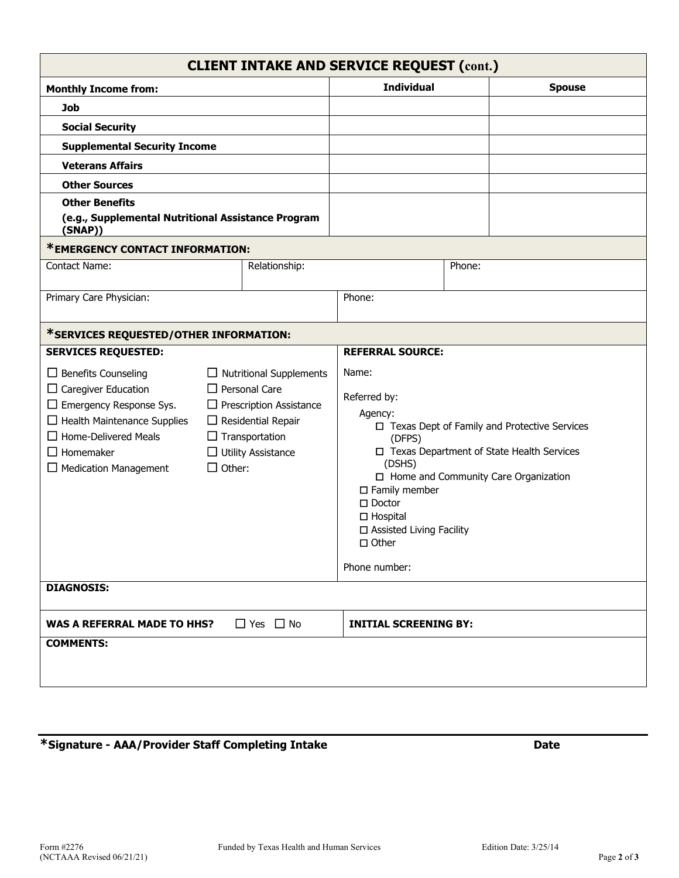| Form #2276<br>$(NCTAAA$ Revised $06/21/21)$ | Funded by Texas Health and Human Services | Edition Date: 3/25/14 | Page 2 of 3 |
|---------------------------------------------|-------------------------------------------|-----------------------|-------------|

| <b>CLIENT INTAKE AND SERVICE REQUEST (cont.)</b> |  |  |  |
|--------------------------------------------------|--|--|--|
|--------------------------------------------------|--|--|--|

| <b>Monthly Income from:</b>                                                                                                                                                                                                              |                                                                                                                                                                                              | <b>Individual</b> |                                                                                                                                                                                                                                                                                                                                          | <b>Spouse</b> |  |  |
|------------------------------------------------------------------------------------------------------------------------------------------------------------------------------------------------------------------------------------------|----------------------------------------------------------------------------------------------------------------------------------------------------------------------------------------------|-------------------|------------------------------------------------------------------------------------------------------------------------------------------------------------------------------------------------------------------------------------------------------------------------------------------------------------------------------------------|---------------|--|--|
| <b>Job</b>                                                                                                                                                                                                                               |                                                                                                                                                                                              |                   |                                                                                                                                                                                                                                                                                                                                          |               |  |  |
| <b>Social Security</b>                                                                                                                                                                                                                   |                                                                                                                                                                                              |                   |                                                                                                                                                                                                                                                                                                                                          |               |  |  |
| <b>Supplemental Security Income</b>                                                                                                                                                                                                      |                                                                                                                                                                                              |                   |                                                                                                                                                                                                                                                                                                                                          |               |  |  |
| <b>Veterans Affairs</b>                                                                                                                                                                                                                  |                                                                                                                                                                                              |                   |                                                                                                                                                                                                                                                                                                                                          |               |  |  |
| <b>Other Sources</b>                                                                                                                                                                                                                     |                                                                                                                                                                                              |                   |                                                                                                                                                                                                                                                                                                                                          |               |  |  |
| <b>Other Benefits</b>                                                                                                                                                                                                                    |                                                                                                                                                                                              |                   |                                                                                                                                                                                                                                                                                                                                          |               |  |  |
| (e.g., Supplemental Nutritional Assistance Program<br>(SNAP))                                                                                                                                                                            |                                                                                                                                                                                              |                   |                                                                                                                                                                                                                                                                                                                                          |               |  |  |
| *EMERGENCY CONTACT INFORMATION:                                                                                                                                                                                                          |                                                                                                                                                                                              |                   |                                                                                                                                                                                                                                                                                                                                          |               |  |  |
| <b>Contact Name:</b>                                                                                                                                                                                                                     |                                                                                                                                                                                              | Relationship:     | Phone:                                                                                                                                                                                                                                                                                                                                   |               |  |  |
| Primary Care Physician:                                                                                                                                                                                                                  |                                                                                                                                                                                              |                   | Phone:                                                                                                                                                                                                                                                                                                                                   |               |  |  |
|                                                                                                                                                                                                                                          |                                                                                                                                                                                              |                   |                                                                                                                                                                                                                                                                                                                                          |               |  |  |
| *SERVICES REQUESTED/OTHER INFORMATION:                                                                                                                                                                                                   |                                                                                                                                                                                              |                   |                                                                                                                                                                                                                                                                                                                                          |               |  |  |
| <b>SERVICES REQUESTED:</b>                                                                                                                                                                                                               |                                                                                                                                                                                              |                   | <b>REFERRAL SOURCE:</b>                                                                                                                                                                                                                                                                                                                  |               |  |  |
| $\Box$ Benefits Counseling<br>$\Box$ Caregiver Education<br>$\Box$ Emergency Response Sys.<br>$\Box$ Health Maintenance Supplies<br>$\Box$ Home-Delivered Meals<br>$\Box$ Homemaker<br>$\Box$ Medication Management<br><b>DIAGNOSIS:</b> | $\Box$ Nutritional Supplements<br>$\Box$ Personal Care<br>$\Box$ Prescription Assistance<br>$\Box$ Residential Repair<br>$\Box$ Transportation<br>$\Box$ Utility Assistance<br>$\Box$ Other: |                   | Name:<br>Referred by:<br>Agency:<br>□ Texas Dept of Family and Protective Services<br>(DFPS)<br>□ Texas Department of State Health Services<br>(DSHS)<br>$\Box$ Home and Community Care Organization<br>$\square$ Family member<br>$\square$ Doctor<br>$\Box$ Hospital<br>□ Assisted Living Facility<br>$\square$ Other<br>Phone number: |               |  |  |
| $\Box$ Yes $\Box$ No<br><b>WAS A REFERRAL MADE TO HHS?</b>                                                                                                                                                                               |                                                                                                                                                                                              |                   | <b>INITIAL SCREENING BY:</b>                                                                                                                                                                                                                                                                                                             |               |  |  |
| <b>COMMENTS:</b>                                                                                                                                                                                                                         |                                                                                                                                                                                              |                   |                                                                                                                                                                                                                                                                                                                                          |               |  |  |
|                                                                                                                                                                                                                                          |                                                                                                                                                                                              |                   |                                                                                                                                                                                                                                                                                                                                          |               |  |  |

**\*Signature - AAA/Provider Staff Completing Intake Date**